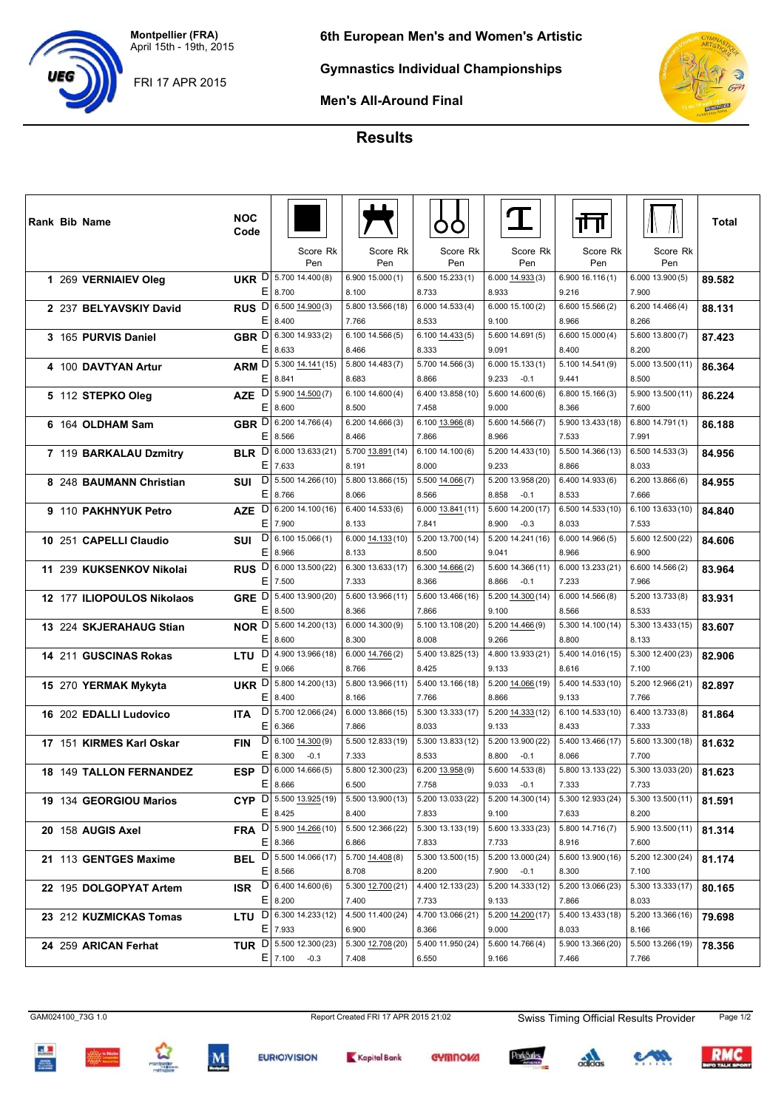**Montpellier (FRA)** April 15th - 19th, 2015

FRI 17 APR 2015

**6th European Men's and Women's Artistic**

**Gymnastics Individual Championships**



**Men's All-Around Final**

## **Results**

| <b>Rank Bib Name</b>           | <b>NOC</b><br>Code         |                                                   |                                     |                            |                                     | गा                         |                            | Total  |
|--------------------------------|----------------------------|---------------------------------------------------|-------------------------------------|----------------------------|-------------------------------------|----------------------------|----------------------------|--------|
|                                |                            | Score Rk<br>Pen                                   | Score Rk<br>Pen                     | Score Rk<br>Pen            | Score Rk<br>Pen                     | Score Rk<br>Pen            | Score Rk<br>Pen            |        |
| 1 269 VERNIAIEV Oleg           |                            | <b>UKR</b> $D  5.70014.400(8)$                    | $6.900$ 15.000 (1)                  | 6.50015.233(1)             | $6.000$ $14.933(3)$                 | 6.90016.116(1)             | 6.00013.900(5)             | 89.582 |
|                                | Е                          | 8.700                                             | 8.100                               | 8.733                      | 8.933                               | 9.216                      | 7.900                      |        |
| 2 237 BELYAVSKIY David         | <b>RUS</b>                 | $D$ 6.500 14.900 (3)<br>E 8.400                   | 5.800 13.566 (18)<br>7.766          | 6.000 14.533 (4)<br>8.533  | 6.000 15.100 (2)<br>9.100           | 6.600 15.566 (2)<br>8.966  | 6.20014.466(4)<br>8.266    | 88.131 |
| 3 165 PURVIS Daniel            | GBR $\overline{D}$         | 6.300 14.933 (2)                                  | 6.10014.566(5)                      | 6.100 14.433 (5)           | 5.600 14.691 (5)                    | 6.60015.000(4)             | 5.600 13.800 (7)           | 87.423 |
|                                | Е                          | 8.633                                             | 8.466                               | 8.333                      | 9.091                               | 8.400                      | 8.200                      |        |
| 4 100 DAVTYAN Artur            |                            | ARM D 5.300 14.141 (15)                           | 5.800 14.483 (7)                    | 5.700 14.566 (3)           | 6.00015.133(1)                      | 5.100 14.541 (9)           | 5.000 13.500 (11)          | 86.364 |
|                                | E                          | 8.841                                             | 8.683                               | 8.866                      | 9.233<br>$-0.1$                     | 9.441                      | 8.500                      |        |
| 5 112 STEPKO Oleg              | AZE.                       | $D$ 5.900 14.500 (7)                              | 6.100 14.600 (4)                    | 6.400 13.858 (10)          | 5.600 14.600 (6)                    | 6.800 15.166 (3)           | 5.900 13.500 (11)          | 86.224 |
|                                |                            | E 8.600                                           | 8.500                               | 7.458                      | 9.000                               | 8.366                      | 7.600                      |        |
| 6 164 OLDHAM Sam               | GBR $\overline{D}$         | 6.200 14.766 (4)                                  | 6.200 14.666 (3)                    | 6.100 13.966 (8)           | 5.600 14.566 (7)                    | 5.900 13.433 (18)          | 6.800 14.791 (1)           | 86.188 |
|                                | Е                          | 8.566<br>6.000 13.633 (21)                        | 8.466                               | 7.866                      | 8.966                               | 7.533                      | 7.991<br>6.50014.533(3)    |        |
| 7 119 BARKALAU Dzmitry         | D<br><b>BLR</b><br>Е       | 7.633                                             | 5.700 13.891 (14)<br>8.191          | 6.100 14.100 (6)<br>8.000  | 5.200 14.433 (10)<br>9.233          | 5.500 14.366 (13)<br>8.866 | 8.033                      | 84.956 |
| 8 248 BAUMANN Christian        | SUI                        | $D$ 5.500 14.266 (10)                             | 5.800 13.866 (15)                   | $5.500$ $14.066$ (7)       | 5.200 13.958 (20)                   | 6.400 14.933 (6)           | 6.20013.866(6)             | 84.955 |
|                                |                            | $E$ 8.766                                         | 8.066                               | 8.566                      | 8.858<br>$-0.1$                     | 8.533                      | 7.666                      |        |
| 9 110 PAKHNYUK Petro           | $\mathsf{D}$<br><b>AZE</b> | 6.200 14.100 (16)                                 | 6.400 14.533 (6)                    | 6.000 13.841 (11)          | 5.600 14.200 (17)                   | 6.500 14.533 (10)          | 6.100 13.633 (10)          | 84.840 |
|                                | Е                          | 7.900                                             | 8.133                               | 7.841                      | 8.900<br>$-0.3$                     | 8.033                      | 7.533                      |        |
| 10 251 CAPELLI Claudio         | $\mathsf{D}$<br>SUI        | 6.100 15.066 (1)                                  | 6.000 14.133 (10)                   | 5.200 13.700 (14)          | 5.200 14.241 (16)                   | 6.00014.966(5)             | 5.600 12.500 (22)          | 84.606 |
|                                | Ε                          | 8.966                                             | 8.133                               | 8.500                      | 9.041                               | 8.966                      | 6.900                      |        |
| 11 239 KUKSENKOV Nikolai       | $\mathsf{D}$<br><b>RUS</b> | 6.000 13.500 (22)                                 | 6.300 13.633 (17)                   | $6.300$ $14.666$ (2)       | 5.600 14.366 (11)                   | 6.000 13.233 (21)          | 6.600 14.566 (2)           | 83.964 |
|                                |                            | $E$ 7.500                                         | 7.333                               | 8.366                      | 8.866<br>$-0.1$                     | 7.233                      | 7.966                      |        |
| 12 177 ILIOPOULOS Nikolaos     | $\mathsf{D}$<br><b>GRE</b> | 5.400 13.900 (20)                                 | 5.600 13.966 (11)                   | 5.600 13.466 (16)          | 5.200 14.300 (14)                   | 6.00014.566(8)             | 5.200 13.733(8)            | 83.931 |
|                                | Е                          | 8.500<br><b>NOR</b> D 5.600 14.200 (13)           | 8.366<br>6.000 14.300 (9)           | 7.866<br>5.100 13.108 (20) | 9.100<br>5.200 14.466 (9)           | 8.566<br>5.300 14.100 (14) | 8.533<br>5.300 13.433 (15) |        |
| 13 224 SKJERAHAUG Stian        | Е                          | 8.600                                             | 8.300                               | 8.008                      | 9.266                               | 8.800                      | 8.133                      | 83.607 |
| 14 211 GUSCINAS Rokas          | $\mathsf{D}$<br><b>LTU</b> | 4.900 13.966 (18)                                 | 6.000 14.766 (2)                    | 5.400 13.825 (13)          | 4.800 13.933 (21)                   | 5.400 14.016 (15)          | 5.300 12.400 (23)          | 82.906 |
|                                |                            | $E$ 9.066                                         | 8.766                               | 8.425                      | 9.133                               | 8.616                      | 7.100                      |        |
| 15 270 YERMAK Mykyta           | UKR $\overline{D}$         | 5.800 14.200 (13)                                 | 5.800 13.966 (11)                   | 5.400 13.166 (18)          | 5.200 14.066 (19)                   | 5.400 14.533 (10)          | 5.200 12.966 (21)          | 82.897 |
|                                | Е                          | 8.400                                             | 8.166                               | 7.766                      | 8.866                               | 9.133                      | 7.766                      |        |
| 16 202 EDALLI Ludovico         | <b>ITA</b>                 | $D$ 5.700 12.066 (24)                             | 6.000 13.866 (15)                   | 5.300 13.333 (17)          | 5.200 14.333 (12)                   | 6.100 14.533 (10)          | 6.400 13.733(8)            | 81.864 |
|                                | Ε                          | 6.366                                             | 7.866                               | 8.033                      | 9.133                               | 8.433                      | 7.333                      |        |
| 17 151 KIRMES Karl Oskar       | <b>FIN</b>                 | $D$ 6.100 14.300 (9)                              | 5.500 12.833 (19)                   | 5.300 13.833 (12)          | 5.200 13.900 (22)                   | 5.400 13.466 (17)          | 5.600 13.300 (18)          | 81.632 |
|                                | E                          | 8.300<br>$-0.1$<br>$D$ 6.000 14.666 (5)           | 7.333                               | 8.533                      | 8.800<br>$-0.1$                     | 8.066                      | 7.700                      |        |
| <b>18 149 TALLON FERNANDEZ</b> | <b>ESP</b>                 | $E$ 8.666                                         | 5.800 12.300 (23)<br>6.500          | 6.200 13.958 (9)<br>7.758  | 5.600 14.533 (8)<br>$9.033 -0.1$    | 5.800 13.133 (22)<br>7.333 | 5.300 13.033 (20)<br>7.733 | 81.623 |
| 19 134 GEORGIOU Marios         |                            | <b>CYP</b> $\text{D}$ 5.500 13.925 (19)           | 5.500 13.900 (13) 5.200 13.033 (22) |                            | $5.20014.300(14)$ 5.300 12.933 (24) |                            | 5.300 13.500 (11)          | 81.591 |
|                                |                            | $E$ 8.425                                         | 8.400                               | 7.833                      | 9.100                               | 7.633                      | 8.200                      |        |
| 20 158 AUGIS Axel              |                            | FRA $D  5.900 \overline{14.266} (10)$             | 5.500 12.366 (22)                   | 5.300 13.133 (19)          | 5.600 13.333 (23)                   | 5.800 14.716 (7)           | 5.900 13.500 (11)          | 81.314 |
|                                |                            | $E$ 8.366                                         | 6.866                               | 7.833                      | 7.733                               | 8.916                      | 7.600                      |        |
| 21 113 GENTGES Maxime          |                            | <b>BEL</b> $D$ 5.500 14.066 (17) 5.700 14.408 (8) |                                     | 5.300 13.500 (15)          | 5.200 13.000 (24)                   | 5.600 13.900 (16)          | 5.200 12.300 (24)          | 81.174 |
|                                |                            | $E$   8.566                                       | 8.708                               | 8.200                      | 7.900 -0.1                          | 8.300                      | 7.100                      |        |
| 22 195 DOLGOPYAT Artem         |                            | ISR $D 6.400 \overline{14.600(6)}$                | 5.300 12.700 (21)                   | 4.400 12.133 (23)          | 5.200 14.333 (12) 5.200 13.066 (23) |                            | 5.300 13.333 (17)          | 80.165 |
|                                |                            | $E$   8.200                                       | 7.400                               | 7.733                      | 9.133                               | 7.866                      | 8.033                      |        |
| 23 212 KUZMICKAS Tomas         |                            | <b>LTU</b> $D$ 6.300 14.233 (12)<br>$E$   7.933   | 4.500 11.400 (24)                   | 4.700 13.066 (21)          | $5.20014.200(17)$ 5.400 13.433 (18) |                            | 5.200 13.366 (16)          | 79.698 |
|                                |                            | TUR $D  5.500 12.300(23)$                         | 6.900<br>5.300 12.708 (20)          | 8.366<br>5.400 11.950 (24) | 9.000<br>5.600 14.766 (4)           | 8.033<br>5.900 13.366 (20) | 8.166<br>5.500 13.266 (19) |        |
| 24 259 ARICAN Ferhat           |                            | $E$   7.100 $-0.3$                                | 7.408                               | 6.550                      | 9.166                               | 7.466                      | 7.766                      | 78.356 |

GAM024100\_73G 1.0 **Report Created FRI 17 APR 2015 21:02** Swiss Timing Official Results Provider Page 1/2



 $\boldsymbol{\omega}$